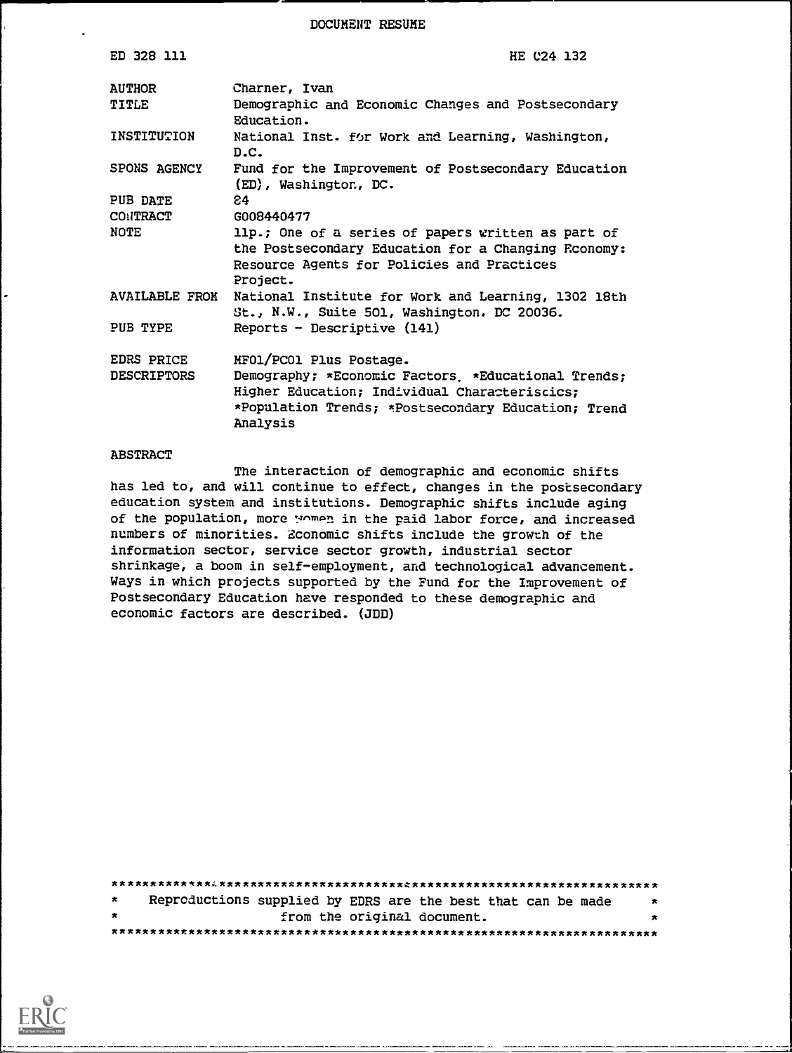DOCUMENT RESUME

| ED 328 111                       | HE C24 132                                                                                                                                                                                        |
|----------------------------------|---------------------------------------------------------------------------------------------------------------------------------------------------------------------------------------------------|
| <b>AUTHOR</b>                    | Charner, Ivan                                                                                                                                                                                     |
| TITLE                            | Demographic and Economic Changes and Postsecondary<br>Education.                                                                                                                                  |
| INSTITUTION                      | National Inst. for Work and Learning, Washington,<br>D.C.                                                                                                                                         |
| SPONS AGENCY                     | Fund for the Improvement of Postsecondary Education<br>(ED), Washington, DC.                                                                                                                      |
| PUB DATE                         | 84.                                                                                                                                                                                               |
| CONTRACT                         | G008440477                                                                                                                                                                                        |
| NOTE                             | 11p.; One of a series of papers written as part of<br>the Postsecondary Education for a Changing Reonomy:<br>Resource Agents for Policies and Practices<br>Project.                               |
| <b>AVAILABLE FROM</b>            | National Institute for Work and Learning, 1302 18th<br>St., N.W., Suite 501, Washington. DC 20036.                                                                                                |
| PUB TYPE                         | Reports - Descriptive (141)                                                                                                                                                                       |
| EDRS PRICE<br><b>DESCRIPTORS</b> | MF01/PC01 Plus Postage.<br>Demography; *Economic Factors *Educational Trends;<br>Higher Education; Individual Characteriscics;<br>*Population Trends; *Postsecondary Education; Trend<br>Analysis |

## **ABSTRACT**

The interaction of demographic and economic shifts has led to, and will continue to effect, changes in the postsecondary education system and institutions. Demographic shifts include aging of the population, more women in the paid labor force, and increased numbers of minorities. Zconomic shifts include the growth of the information sector, service sector growth, industrial sector shrinkage, a boom in self-employment, and technological advancement. Ways in which projects supported by the Fund for the Improvement of Postsecondary Education have responded to these demographic and economic factors are described. (JDD)

| $\star$ | Reproductions supplied by EDRS are the best that can be made |                             |  |  |  |  | $\star$ |
|---------|--------------------------------------------------------------|-----------------------------|--|--|--|--|---------|
| $\star$ |                                                              | from the original document. |  |  |  |  | $\star$ |
|         |                                                              |                             |  |  |  |  |         |

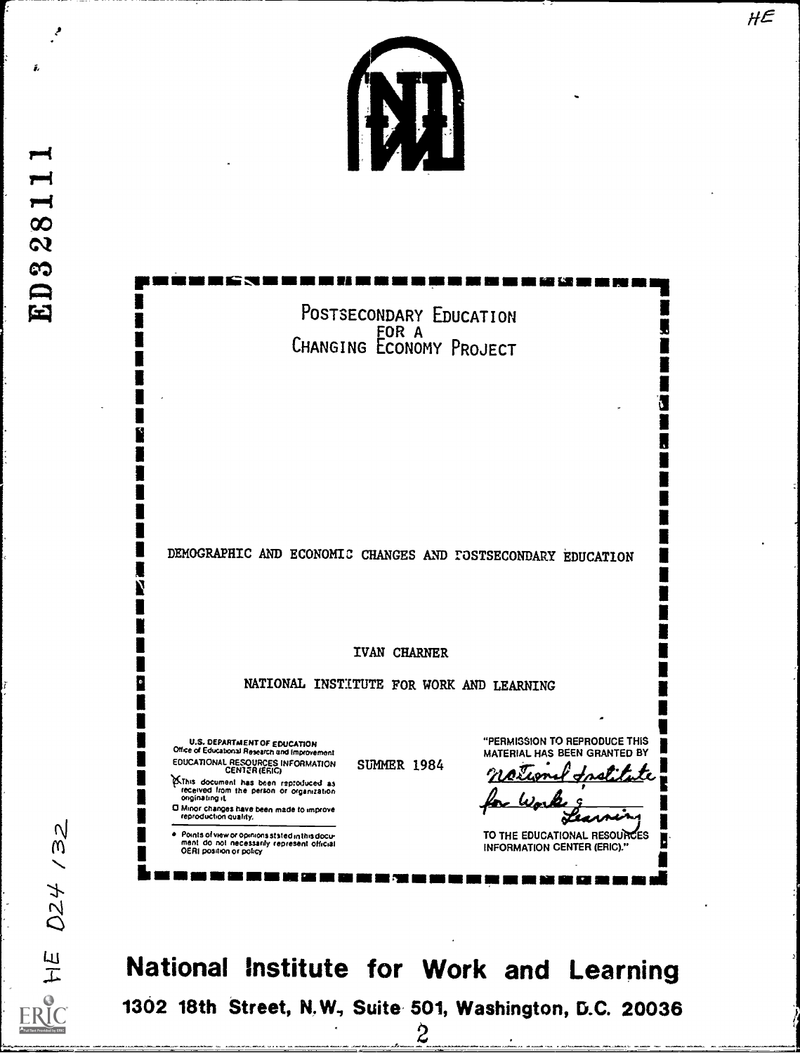

POSTSECONDARY EDUCATION EOR A FOR A CHANGING ECONOMY PROJECT

DEMOGRAPHIC AND ECONOMIC CHANGES AND FOSTSECONDARY EDUCATION

IVAN CHARNER

NATIONAL INSTITUTE FOR WORK AND LEARNING

U.S. DEPARTMENT OF EDUCATION<br>Office of Educational Research and Improvement **EDUCATIONAL RESOURCES INFORMATION<br>CENTER (ERIG)** EXThis document has been reproduced as<br>received from the person or organization<br>originating it.

D Minor changes have been made to improve<br>reproduction quality.

Points of view or opinions stated in this document do not inecessarily represent official<br>OERI position or policy

**SUMMER 1984** 

"PERMISSION TO REPRODUCE THIS MATERIAL HAS BEEN GRANTED BY

Æ

TO THE EDUCATIONAL RESOURCES **INFORMATION CENTER (ERIC)."** 

National Institute for Work and Learning 1302 18th Street, N.W., Suite 501, Washington, D.C. 20036 2

 $/32$ 024  $\frac{E}{L}$ RIC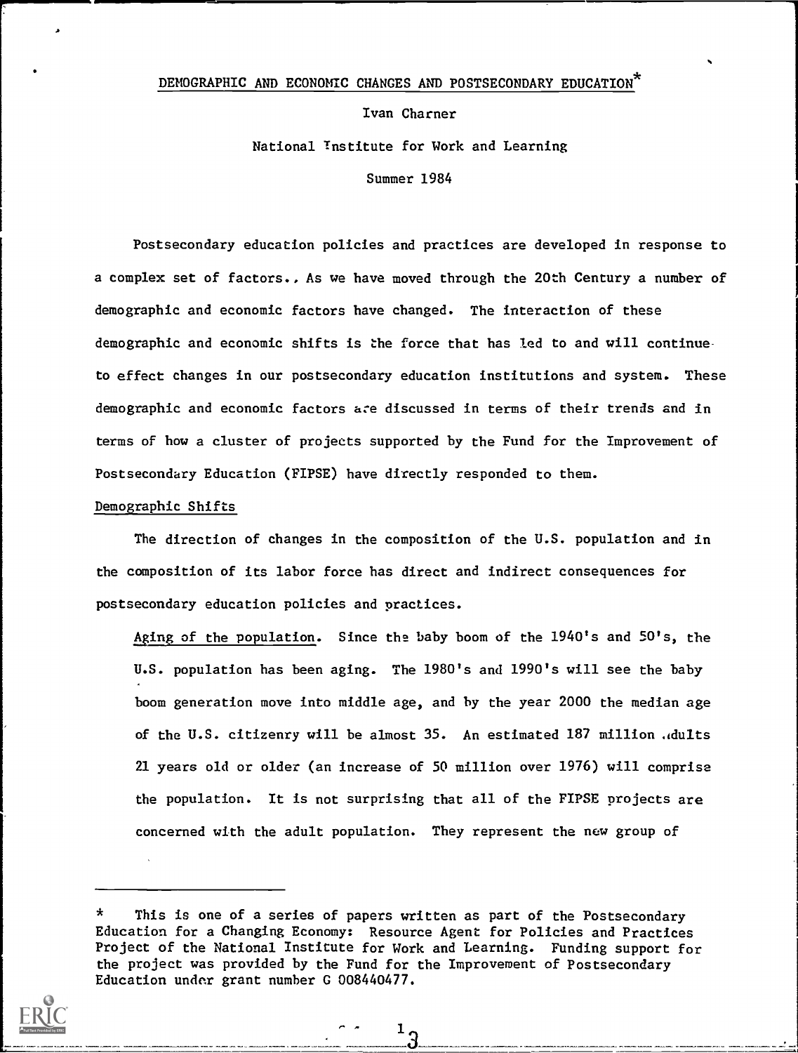## DEMOGRAPHIC AND ECONOMIC CHANGES AND POSTSECONDARY EDUCATION \*

Ivan Charner National Tnstitute for Work and Learning Summer 1984

Postsecondary education policies and practices are developed in response to a complex set of factors., As we have moved through the 20th Century a number of demographic and economic factors have changed. The interaction of these demographic and economic shifts is the force that has led to and will continue to effect changes in our postsecondary education institutions and system. These demographic and economic factors a:e discussed in terms of their trends and in terms of how a cluster of projects supported by the Fund for the Improvement of Postsecondary Education (FIPSE) have directly responded to them.

## Demographic Shifts

The direction of changes in the composition of the U.S. population and in the composition of its labor force has direct and indirect consequences for postsecondary education policies and practices.

Aging of the population. Since the baby boom of the  $1940$ 's and  $50'$ s, the U.S. population has been aging. The 1980's and 1990's will see the baby boom generation move into middle age, and by the year 2000 the median age of the U.S. citizenry will be almost 35. An estimated 187 million .dults 21 years old or older (an increase of 50 million over 1976) will comprise the population. It is not surprising that all of the FIPSE projects are concerned with the adult population. They represent the new group of

 $\star$ This is one of a series of papers written as part of the Postsecondary Education for a Changing Economy: Resource Agent for Policies and Practices Project of the National Institute for Work and Learning. Funding support for the project was provided by the Fund for the Improvement of Postsecondary Education under grant number G 008440477.

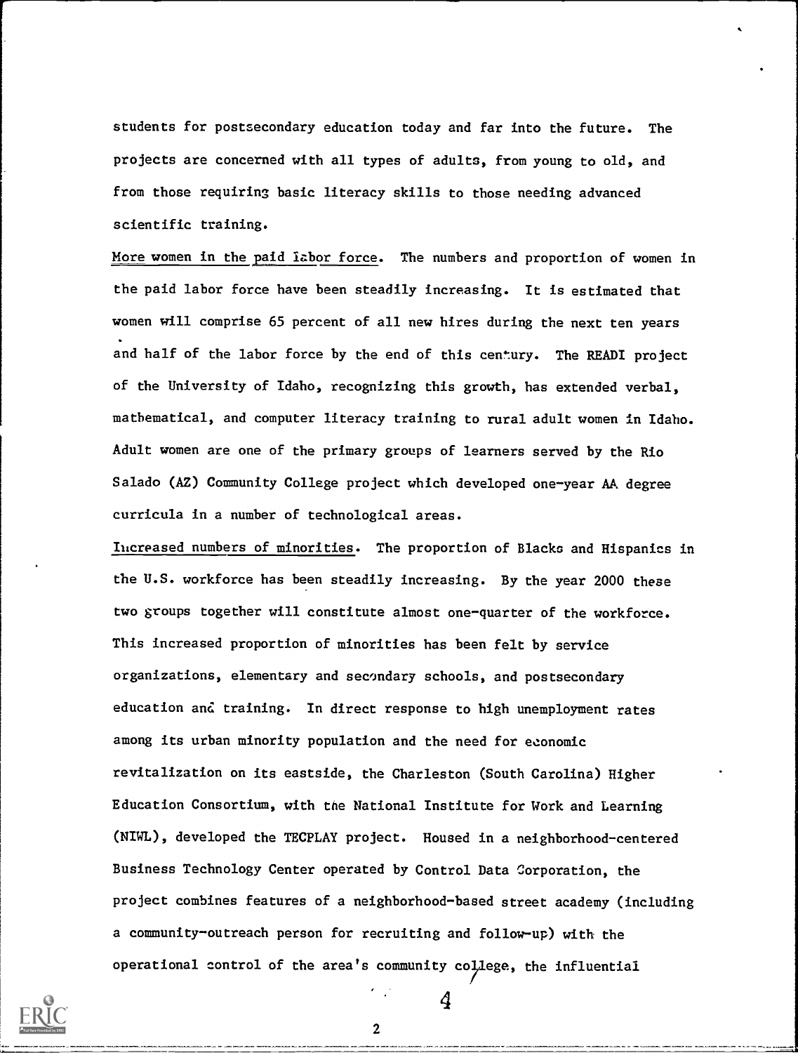students for postsecondary education today and far into the future. The projects are concerned with all types of adults, from young to old, and from those requiring basic literacy skills to those needing advanced scientific training.

More women in the paid labor force. The numbers and proportion of women in the paid labor force have been steadily increasing. It is estimated that women will comprise 65 percent of all new hires during the next ten years and half of the labor force by the end of this century. The READI project of the University of Idaho, recognizing this growth, has extended verbal, mathematical, and computer literacy training to rural adult women in Idaho. Adult women are one of the primary groups of learners served by the Rio Salado (AZ) Community College project which developed one-year AA degree curricula in a number of technological areas.

Ihcreased numbers of minorities. The proportion of Blacks and Hispanics in the U.S. workforce has been steadily increasing. By the year 2000 these two groups together will constitute almost one-quarter of the workforce. This increased proportion of minorities has been felt by service organizations, elementary and secondary schools, and postsecondary education and training. In direct response to high unemployment rates among its urban minority population and the need for economic revitalization on its eastside, the Charleston (South Carolina) Higher Education Consortium, with tne National Institute for Work and Learning (NIWL), developed the TECPLAY project. Housed in a neighborhood-centered Business Technology Center operated by Control Data Corporation, the project combines features of a neighborhood-based street academy (including a community-outreach person for recruiting and follow-up) with the operational control of the area's community college, the influential



2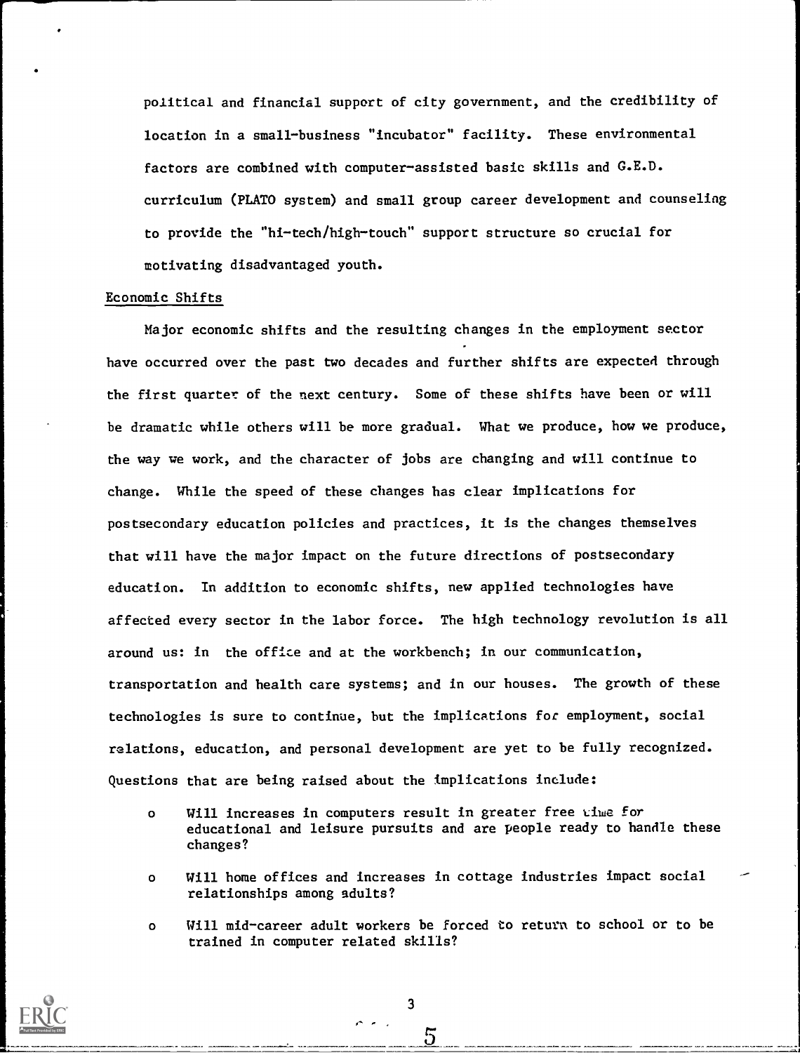political and financial support of city government, and the credibility of location in a small-business "incubator" facility. These environmental factors are combined with computer-assisted basic skills and G.E.D. curriculum (PLATO system) and small group career development and counseling to provide the "hi-tech/high-touch" support structure so crucial for motivating disadvantaged youth.

## Economic Shifts

Major economic shifts and the resulting changes in the employment sector have occurred over the past two decades and further shifts are expected through the first quarter of the next century. Some of these shifts have been or will be dramatic while others will be more gradual. What we produce, how we produce, the way we work, and the character of jobs are changing and will continue to change. While the speed of these changes has clear implications for postsecondary education policies and practices, it is the changes themselves that will have the major impact on the future directions of postsecondary education. In addition to economic shifts, new applied technologies have affected every sector in the labor force. The high technology revolution is all around us: in the office and at the workbench; in our communication, transportation and health care systems; and in our houses. The growth of these technologies is sure to continue, but the implications for employment, social relations, education, and personal development are yet to be fully recognized. Questions that are being raised about the implications include:

- o Will increases in computers result in greater free  $\nu$ iwe for educational and leisure pursuits and are people ready to handle these changes?
- o Will home offices and increases in cottage industries impact social relationships among adults?
- o Will mid-career adult workers be forced to return to school or to be trained in computer related skills?

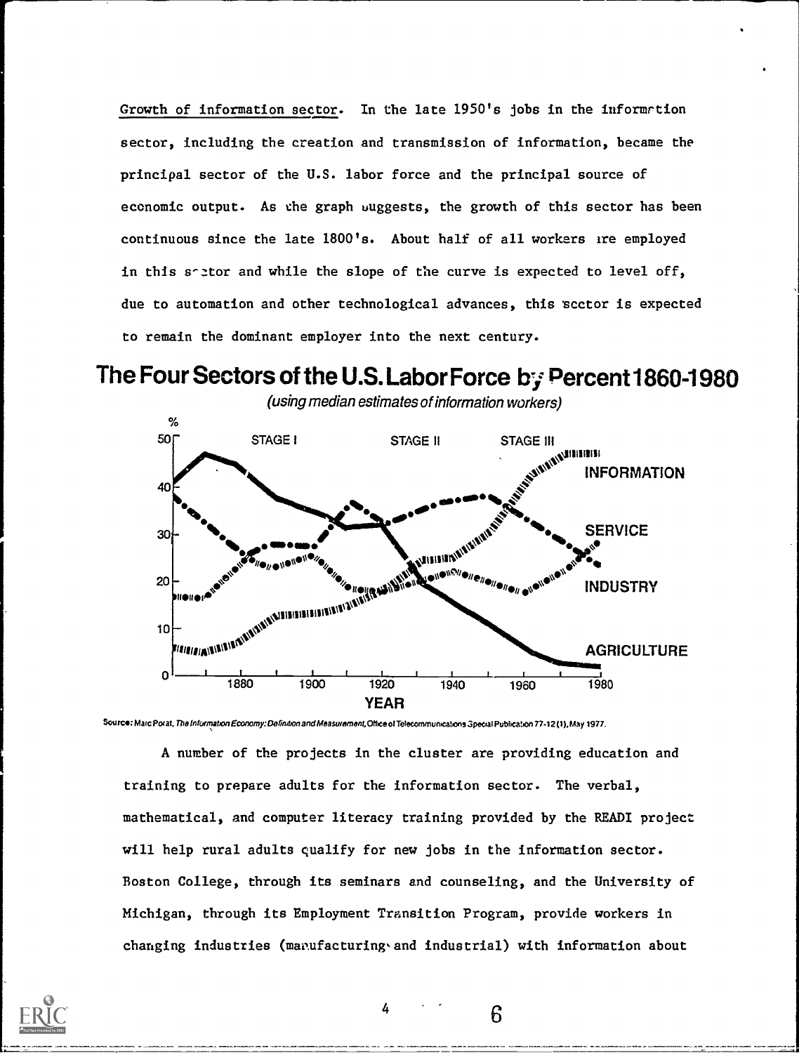Growth of information sector. In the late 1950's jobs in the informrtion sector, including the creation and transmission of information, became the principal sector of the U.S. labor force and the principal source of economic output. As che graph uuggests, the growth of this sector has been continuous since the late 1800's. About half of all workers ire employed in this soltor and while the slope of the curve is expected to level off, due to automation and other technological advances, this 'scctor is expected to remain the dominant employer into the next century.

The Four Sectors of the U.S. Labor Force by Percent 1860-1980



Source: Marc Porat, The Information Economy: Definition and Measurement, Office of Telecommunications Special Publication 77-12 (1), May 1977.

A number of the projects in the cluster are providing education and training to prepare adults for the information sector. The verbal, mathematical, and computer literacy training provided by the READI project will help rural adults qualify for new jobs in the information sector. Boston College, through its seminars and counseling, and the University of Michigan, through its Employment Transition Program, provide workers in changing industries (manufacturing and industrial) with information about

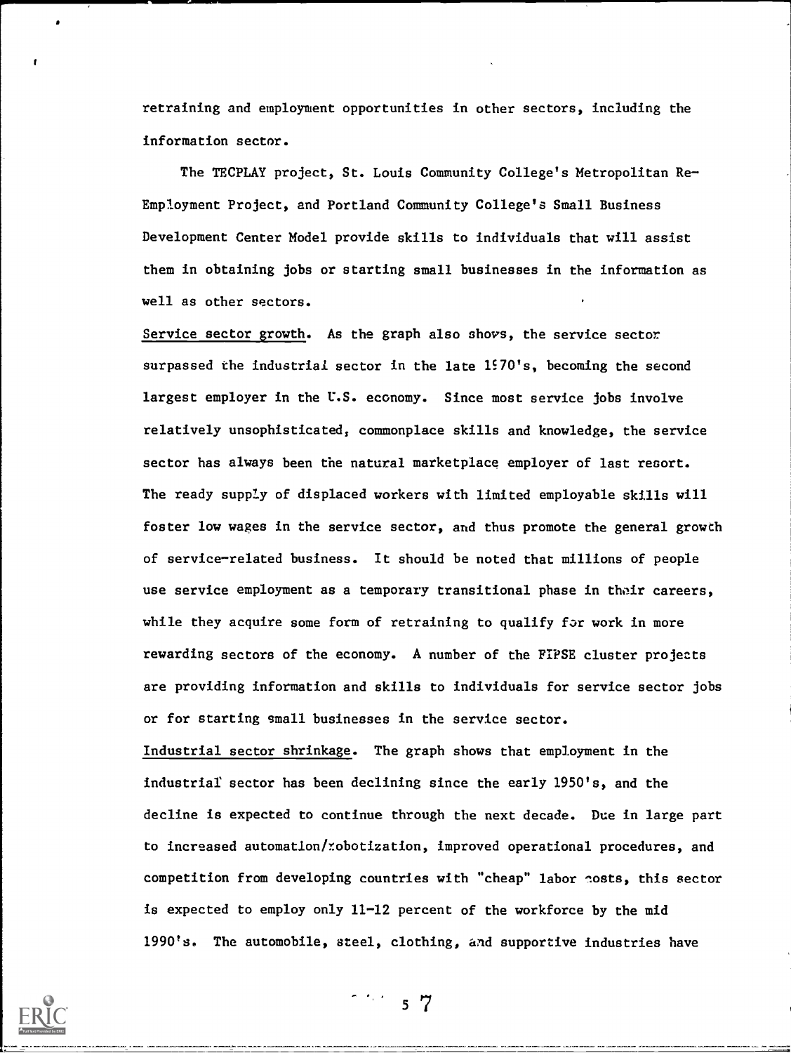retraining and employment opportunities in other sectors, including the information sector.

The TECPLAY project, St. Louis Community College's Metropolitan Re Employment Project, and Portland Community College's Small Business Development Center Model provide skills to individuals that will assist them in obtaining jobs or starting small businesses in the information as well as other sectors.

Service sector growth. As the graph also shovs, the service sector surpassed the industrial sector in the late  $1570's$ , becoming the second largest employer in the U.S. economy. Since most service jobs involve relatively unsophisticated, commonplace skills and knowledge, the service sector has always been the natural marketplace employer of last resort. The ready suppLy of displaced workers with limited employable skills will foster low wages in the service sector, and thus promote the general growth of servicerelated business. It should be noted that millions of people use service employment as a temporary transitional phase in their careers, while they acquire some form of retraining to qualify for work in more rewarding sectors of the economy. A number of the FIPSE cluster projects are providing information and skills to individuals for service sector jobs or for starting small businesses in the service sector.

Industrial sector shrinkage. The graph shows that employment in the industrial sector has been declining since the early 1950's, and the decline is expected to continue through the next decade. Due in large part to increased automation/*robotization*, improved operational procedures, and competition from developing countries with "cheap" labor nosts, this sector is expected to employ only 11-12 percent of the workforce by the mid 1990's. The automobile, steel, clothing, and supportive industries have

--



t

 $\sigma_{\rm{eff}}/\sigma_{\rm{eff}}$ 57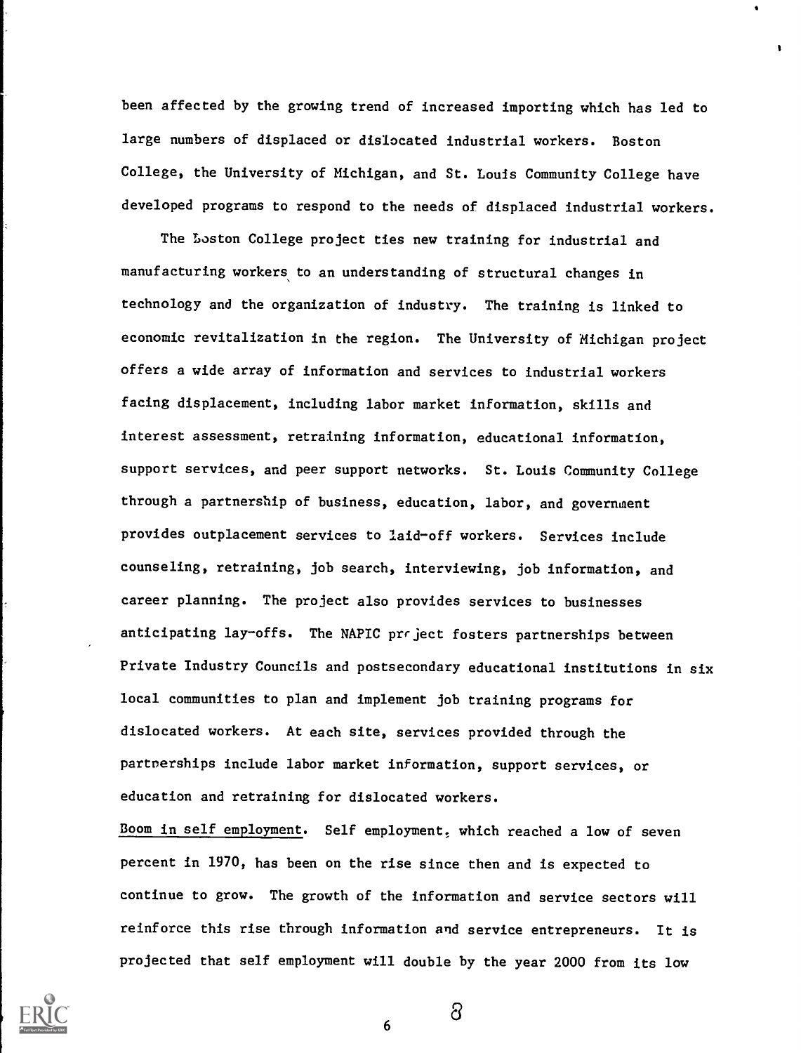been affected by the growing trend of increased importing which has led to large numbers of displaced or dislocated industrial workers. Boston College, the University of Michigan, and St. Louis Community College have developed programs to respond to the needs of displaced industrial workers.

The Loston College project ties new training for industrial and manufacturing workers to an understanding of structural changes in technology and the organization of industry. The training is linked to economic revitalization in the region. The University of Michigan project offers a wide array of information and services to industrial workers facing displacement, including labor market information, skills and interest assessment, retraining information, educational information, support services, and peer support networks. St. Louis Community College through a partnership of business, education, labor, and government provides outplacement services to laid-off workers. Services include counseling, retraining, job search, interviewing, job information, and career planning. The project also provides services to businesses anticipating lay-offs. The NAPIC prrject fosters partnerships between Private Industry Councils and postsecondary educational institutions in six local communities to plan and implement job training programs for dislocated workers. At each site, services provided through the partnerships include labor market information, support services, or education and retraining for dislocated workers.

Boom in self employment. Self employment, which reached a low of seven percent in 1970, has been on the rise since then and is expected to continue to grow. The growth of the information and service sectors will reinforce this rise through information and service entrepreneurs. It is projected that self employment will double by the year 2000 from its low



6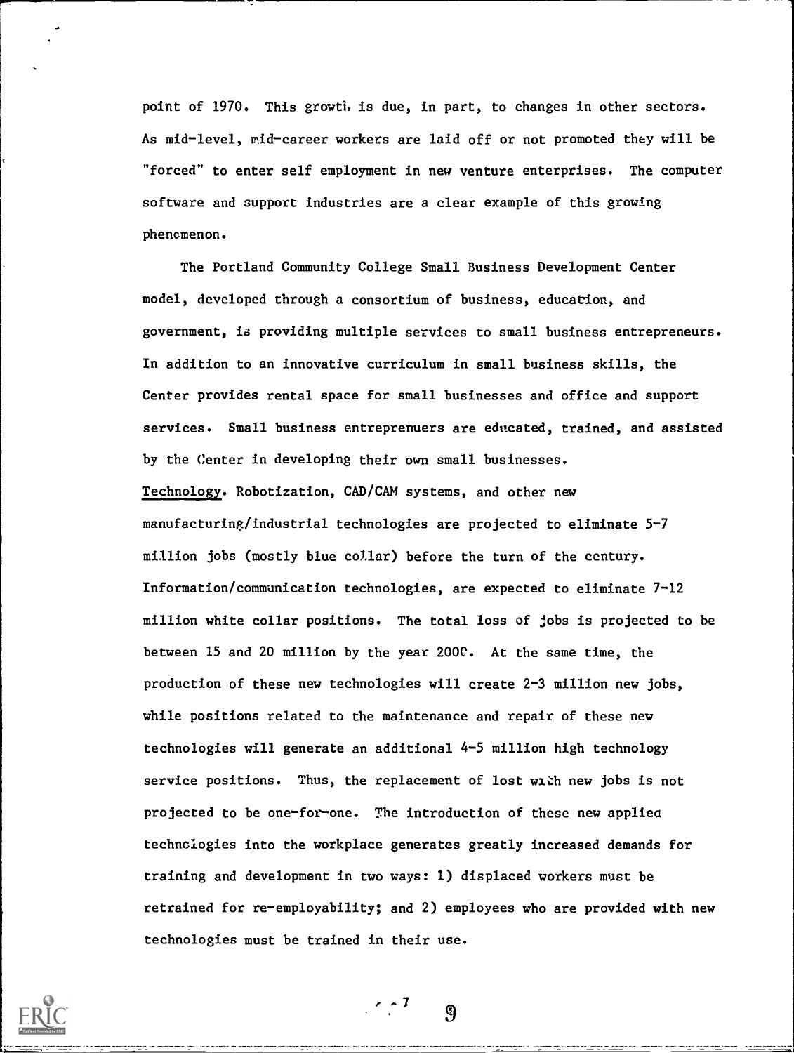point of 1970. This growth is due, in part, to changes in other sectors. As mid-level, mid-career workers are laid off or not promoted they will be "forced" to enter self employment in new venture enterprises. The computer software and support industries are a clear example of this growing phenomenon.

The Portland Community College Small Business Development Center model, developed through a consortium of business, education, and government, ia providing multiple services to small business entrepreneurs. In addition to an innovative curriculum in small business skills, the Center provides rental space for small businesses and office and support services. Small business entreprenuers are educated, trained, and assisted by the Center in developing their own small businesses. Technology. Robotization, CAD/CAM systems, and other new manufacturing/industrial technologies are projected to eliminate 5-7 million jobs (mostly blue collar) before the turn of the century. Information/communication technologies, are expected to eliminate 7-12 million white collar positions. The total loss of jobs is projected to be between 15 and 20 million by the year 2000. At the same time, the production of these new technologies will create 2-3 million new jobs, while positions related to the maintenance and repair of these new technologies will generate an additional 4-5 million high technology service positions. Thus, the replacement of lost win new jobs is not projected to be one-for-one. The introduction of these new applies technologies into the workplace generates greatly increased demands for training and development in two ways: 1) displaced workers must be retrained for re-employability; and 2) employees who are provided with new technologies must be trained in their use.

 $7.77$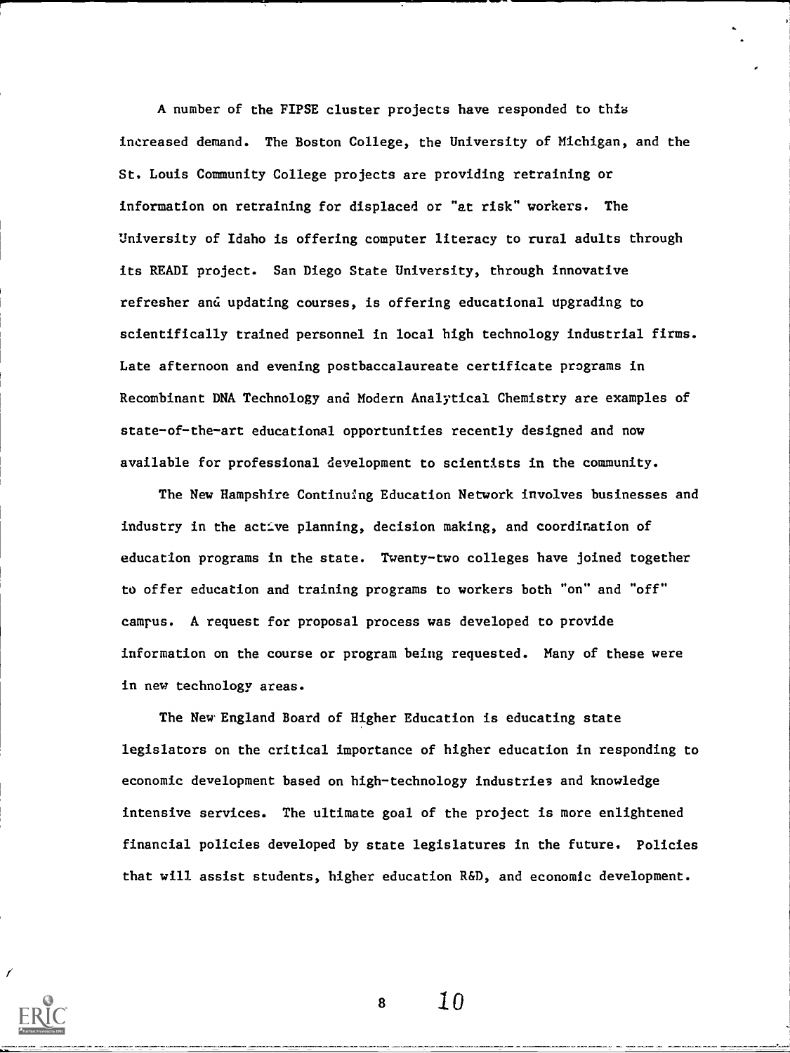A number of the FIPSE cluster projects have responded to this increased demand. The Boston College, the University of Michigan, and the St. Louis Community College projects are providing retraining or information on retraining for displaced or "at risk" workers. The University of Idaho is offering computer literacy to rural adults through its READI project. San Diego State University, through innovative refresher and updating courses, is offering educational upgrading to scientifically trained personnel in local high technology industrial firms. Late afternoon and evening postbaccalaureate certificate programs in Recombinant DNA Technology and Modern Analytical Chemistry are examples of state-of-the-art educational opportunities recently designed and now available for professional development to scientists in the community.

The New Hampshire ContinuIng Education Network involves businesses and industry in the act:Ive planning, decision making, and coordination of education programs in the state. Twenty-two colleges have joined together to offer education and training programs to workers both "on" and "off" camrus. A request for proposal process was developed to provide information on the course or program being requested. Many of these were in new technology areas.

The New England Board of Higher Education is educating state legislators on the critical importance of higher education in responding to economic development based on high-technology industries and knowledge intensive services. The ultimate goal of the project is more enlightened financial policies developed by state legislatures in the future. Policies that will assist students, higher education R&D, and economic development.